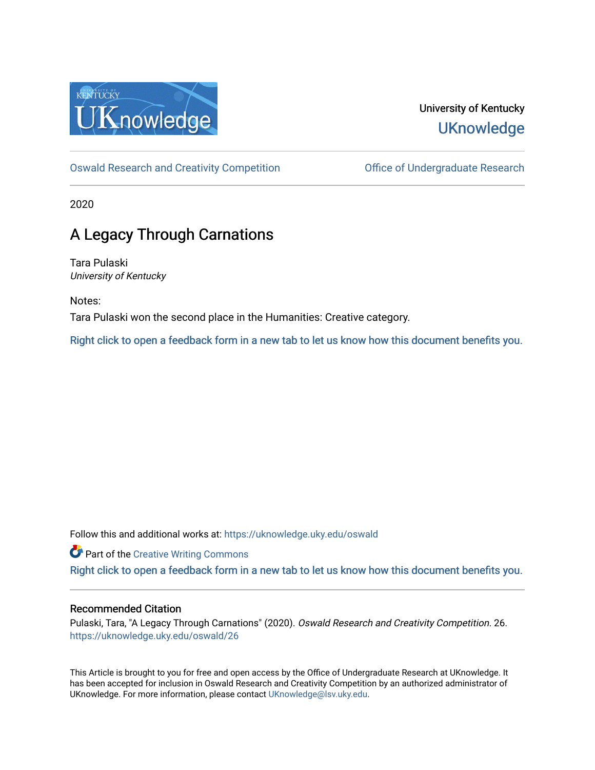

## University of Kentucky **UKnowledge**

[Oswald Research and Creativity Competition](https://uknowledge.uky.edu/oswald) [Office of Undergraduate Research](https://uknowledge.uky.edu/ugresearch) 

2020

## A Legacy Through Carnations

Tara Pulaski University of Kentucky

Notes: Tara Pulaski won the second place in the Humanities: Creative category.

[Right click to open a feedback form in a new tab to let us know how this document benefits you.](https://uky.az1.qualtrics.com/jfe/form/SV_9mq8fx2GnONRfz7)

Follow this and additional works at: [https://uknowledge.uky.edu/oswald](https://uknowledge.uky.edu/oswald?utm_source=uknowledge.uky.edu%2Foswald%2F26&utm_medium=PDF&utm_campaign=PDFCoverPages)

**Part of the Creative Writing Commons** 

[Right click to open a feedback form in a new tab to let us know how this document benefits you.](https://uky.az1.qualtrics.com/jfe/form/SV_9mq8fx2GnONRfz7)

## Recommended Citation

Pulaski, Tara, "A Legacy Through Carnations" (2020). Oswald Research and Creativity Competition. 26. [https://uknowledge.uky.edu/oswald/26](https://uknowledge.uky.edu/oswald/26?utm_source=uknowledge.uky.edu%2Foswald%2F26&utm_medium=PDF&utm_campaign=PDFCoverPages) 

This Article is brought to you for free and open access by the Office of Undergraduate Research at UKnowledge. It has been accepted for inclusion in Oswald Research and Creativity Competition by an authorized administrator of UKnowledge. For more information, please contact [UKnowledge@lsv.uky.edu](mailto:UKnowledge@lsv.uky.edu).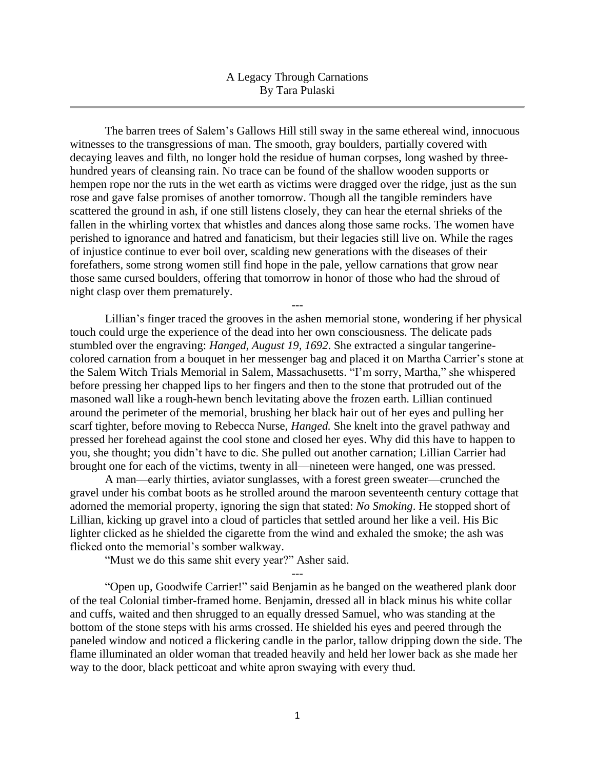## A Legacy Through Carnations By Tara Pulaski

The barren trees of Salem's Gallows Hill still sway in the same ethereal wind, innocuous witnesses to the transgressions of man. The smooth, gray boulders, partially covered with decaying leaves and filth, no longer hold the residue of human corpses, long washed by threehundred years of cleansing rain. No trace can be found of the shallow wooden supports or hempen rope nor the ruts in the wet earth as victims were dragged over the ridge, just as the sun rose and gave false promises of another tomorrow. Though all the tangible reminders have scattered the ground in ash, if one still listens closely, they can hear the eternal shrieks of the fallen in the whirling vortex that whistles and dances along those same rocks. The women have perished to ignorance and hatred and fanaticism, but their legacies still live on. While the rages of injustice continue to ever boil over, scalding new generations with the diseases of their forefathers, some strong women still find hope in the pale, yellow carnations that grow near those same cursed boulders, offering that tomorrow in honor of those who had the shroud of night clasp over them prematurely.

Lillian's finger traced the grooves in the ashen memorial stone, wondering if her physical touch could urge the experience of the dead into her own consciousness. The delicate pads stumbled over the engraving: *Hanged, August 19, 1692*. She extracted a singular tangerinecolored carnation from a bouquet in her messenger bag and placed it on Martha Carrier's stone at the Salem Witch Trials Memorial in Salem, Massachusetts. "I'm sorry, Martha," she whispered before pressing her chapped lips to her fingers and then to the stone that protruded out of the masoned wall like a rough-hewn bench levitating above the frozen earth. Lillian continued around the perimeter of the memorial, brushing her black hair out of her eyes and pulling her scarf tighter, before moving to Rebecca Nurse, *Hanged.* She knelt into the gravel pathway and pressed her forehead against the cool stone and closed her eyes. Why did this have to happen to you, she thought; you didn't have to die. She pulled out another carnation; Lillian Carrier had brought one for each of the victims, twenty in all—nineteen were hanged, one was pressed.

---

A man—early thirties, aviator sunglasses, with a forest green sweater—crunched the gravel under his combat boots as he strolled around the maroon seventeenth century cottage that adorned the memorial property, ignoring the sign that stated: *No Smoking*. He stopped short of Lillian, kicking up gravel into a cloud of particles that settled around her like a veil. His Bic lighter clicked as he shielded the cigarette from the wind and exhaled the smoke; the ash was flicked onto the memorial's somber walkway.

"Must we do this same shit every year?" Asher said.

"Open up, Goodwife Carrier!" said Benjamin as he banged on the weathered plank door of the teal Colonial timber-framed home. Benjamin, dressed all in black minus his white collar and cuffs, waited and then shrugged to an equally dressed Samuel, who was standing at the bottom of the stone steps with his arms crossed. He shielded his eyes and peered through the paneled window and noticed a flickering candle in the parlor, tallow dripping down the side. The flame illuminated an older woman that treaded heavily and held her lower back as she made her way to the door, black petticoat and white apron swaying with every thud.

---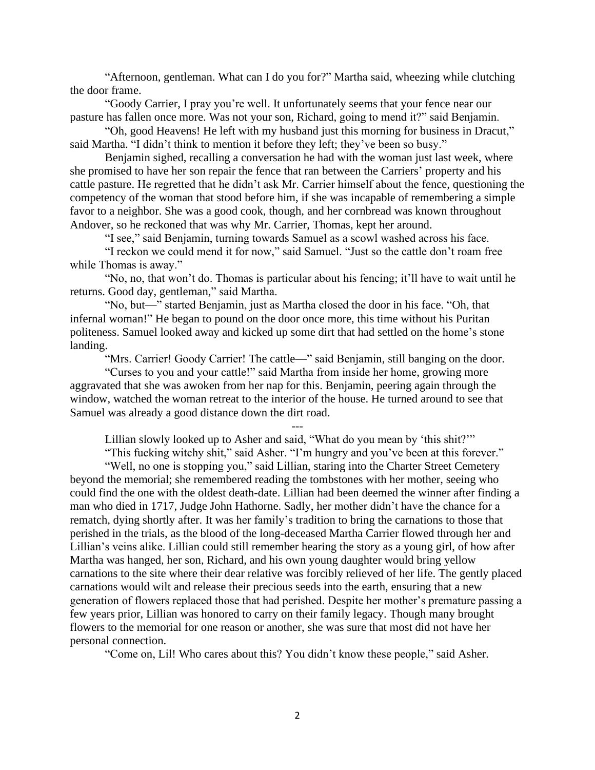"Afternoon, gentleman. What can I do you for?" Martha said, wheezing while clutching the door frame.

"Goody Carrier, I pray you're well. It unfortunately seems that your fence near our pasture has fallen once more. Was not your son, Richard, going to mend it?" said Benjamin.

"Oh, good Heavens! He left with my husband just this morning for business in Dracut," said Martha. "I didn't think to mention it before they left; they've been so busy."

Benjamin sighed, recalling a conversation he had with the woman just last week, where she promised to have her son repair the fence that ran between the Carriers' property and his cattle pasture. He regretted that he didn't ask Mr. Carrier himself about the fence, questioning the competency of the woman that stood before him, if she was incapable of remembering a simple favor to a neighbor. She was a good cook, though, and her cornbread was known throughout Andover, so he reckoned that was why Mr. Carrier, Thomas, kept her around.

"I see," said Benjamin, turning towards Samuel as a scowl washed across his face.

"I reckon we could mend it for now," said Samuel. "Just so the cattle don't roam free while Thomas is away."

"No, no, that won't do. Thomas is particular about his fencing; it'll have to wait until he returns. Good day, gentleman," said Martha.

"No, but—" started Benjamin, just as Martha closed the door in his face. "Oh, that infernal woman!" He began to pound on the door once more, this time without his Puritan politeness. Samuel looked away and kicked up some dirt that had settled on the home's stone landing.

"Mrs. Carrier! Goody Carrier! The cattle—" said Benjamin, still banging on the door.

"Curses to you and your cattle!" said Martha from inside her home, growing more aggravated that she was awoken from her nap for this. Benjamin, peering again through the window, watched the woman retreat to the interior of the house. He turned around to see that Samuel was already a good distance down the dirt road.

--- Lillian slowly looked up to Asher and said, "What do you mean by 'this shit?'"

"This fucking witchy shit," said Asher. "I'm hungry and you've been at this forever."

"Well, no one is stopping you," said Lillian, staring into the Charter Street Cemetery beyond the memorial; she remembered reading the tombstones with her mother, seeing who could find the one with the oldest death-date. Lillian had been deemed the winner after finding a man who died in 1717, Judge John Hathorne. Sadly, her mother didn't have the chance for a rematch, dying shortly after. It was her family's tradition to bring the carnations to those that perished in the trials, as the blood of the long-deceased Martha Carrier flowed through her and Lillian's veins alike. Lillian could still remember hearing the story as a young girl, of how after Martha was hanged, her son, Richard, and his own young daughter would bring yellow carnations to the site where their dear relative was forcibly relieved of her life. The gently placed carnations would wilt and release their precious seeds into the earth, ensuring that a new generation of flowers replaced those that had perished. Despite her mother's premature passing a few years prior, Lillian was honored to carry on their family legacy. Though many brought flowers to the memorial for one reason or another, she was sure that most did not have her personal connection.

"Come on, Lil! Who cares about this? You didn't know these people," said Asher.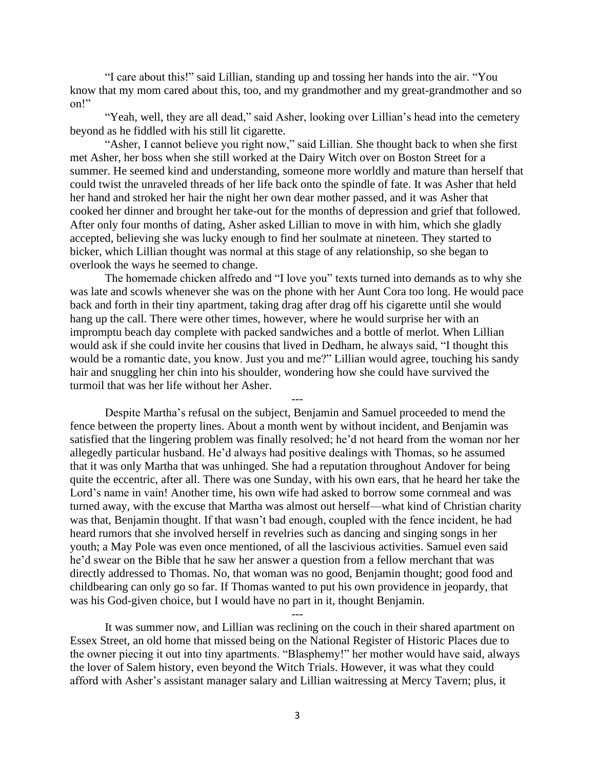"I care about this!" said Lillian, standing up and tossing her hands into the air. "You know that my mom cared about this, too, and my grandmother and my great-grandmother and so on!"

"Yeah, well, they are all dead," said Asher, looking over Lillian's head into the cemetery beyond as he fiddled with his still lit cigarette.

"Asher, I cannot believe you right now," said Lillian. She thought back to when she first met Asher, her boss when she still worked at the Dairy Witch over on Boston Street for a summer. He seemed kind and understanding, someone more worldly and mature than herself that could twist the unraveled threads of her life back onto the spindle of fate. It was Asher that held her hand and stroked her hair the night her own dear mother passed, and it was Asher that cooked her dinner and brought her take-out for the months of depression and grief that followed. After only four months of dating, Asher asked Lillian to move in with him, which she gladly accepted, believing she was lucky enough to find her soulmate at nineteen. They started to bicker, which Lillian thought was normal at this stage of any relationship, so she began to overlook the ways he seemed to change.

The homemade chicken alfredo and "I love you" texts turned into demands as to why she was late and scowls whenever she was on the phone with her Aunt Cora too long. He would pace back and forth in their tiny apartment, taking drag after drag off his cigarette until she would hang up the call. There were other times, however, where he would surprise her with an impromptu beach day complete with packed sandwiches and a bottle of merlot. When Lillian would ask if she could invite her cousins that lived in Dedham, he always said, "I thought this would be a romantic date, you know. Just you and me?" Lillian would agree, touching his sandy hair and snuggling her chin into his shoulder, wondering how she could have survived the turmoil that was her life without her Asher.

---

Despite Martha's refusal on the subject, Benjamin and Samuel proceeded to mend the fence between the property lines. About a month went by without incident, and Benjamin was satisfied that the lingering problem was finally resolved; he'd not heard from the woman nor her allegedly particular husband. He'd always had positive dealings with Thomas, so he assumed that it was only Martha that was unhinged. She had a reputation throughout Andover for being quite the eccentric, after all. There was one Sunday, with his own ears, that he heard her take the Lord's name in vain! Another time, his own wife had asked to borrow some cornmeal and was turned away, with the excuse that Martha was almost out herself—what kind of Christian charity was that, Benjamin thought. If that wasn't bad enough, coupled with the fence incident, he had heard rumors that she involved herself in revelries such as dancing and singing songs in her youth; a May Pole was even once mentioned, of all the lascivious activities. Samuel even said he'd swear on the Bible that he saw her answer a question from a fellow merchant that was directly addressed to Thomas. No, that woman was no good, Benjamin thought; good food and childbearing can only go so far. If Thomas wanted to put his own providence in jeopardy, that was his God-given choice, but I would have no part in it, thought Benjamin.

It was summer now, and Lillian was reclining on the couch in their shared apartment on Essex Street, an old home that missed being on the National Register of Historic Places due to the owner piecing it out into tiny apartments. "Blasphemy!" her mother would have said, always the lover of Salem history, even beyond the Witch Trials. However, it was what they could afford with Asher's assistant manager salary and Lillian waitressing at Mercy Tavern; plus, it

---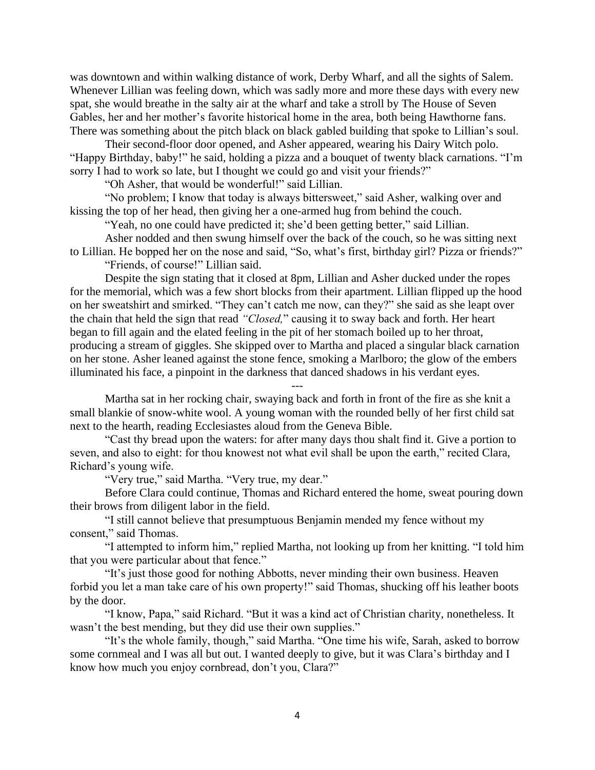was downtown and within walking distance of work, Derby Wharf, and all the sights of Salem. Whenever Lillian was feeling down, which was sadly more and more these days with every new spat, she would breathe in the salty air at the wharf and take a stroll by The House of Seven Gables, her and her mother's favorite historical home in the area, both being Hawthorne fans. There was something about the pitch black on black gabled building that spoke to Lillian's soul.

Their second-floor door opened, and Asher appeared, wearing his Dairy Witch polo. "Happy Birthday, baby!" he said, holding a pizza and a bouquet of twenty black carnations. "I'm sorry I had to work so late, but I thought we could go and visit your friends?"

"Oh Asher, that would be wonderful!" said Lillian.

"No problem; I know that today is always bittersweet," said Asher, walking over and kissing the top of her head, then giving her a one-armed hug from behind the couch.

"Yeah, no one could have predicted it; she'd been getting better," said Lillian.

Asher nodded and then swung himself over the back of the couch, so he was sitting next to Lillian. He bopped her on the nose and said, "So, what's first, birthday girl? Pizza or friends?" "Friends, of course!" Lillian said.

Despite the sign stating that it closed at 8pm, Lillian and Asher ducked under the ropes for the memorial, which was a few short blocks from their apartment. Lillian flipped up the hood on her sweatshirt and smirked. "They can't catch me now, can they?" she said as she leapt over the chain that held the sign that read *"Closed,*" causing it to sway back and forth. Her heart began to fill again and the elated feeling in the pit of her stomach boiled up to her throat, producing a stream of giggles. She skipped over to Martha and placed a singular black carnation on her stone. Asher leaned against the stone fence, smoking a Marlboro; the glow of the embers illuminated his face, a pinpoint in the darkness that danced shadows in his verdant eyes.

Martha sat in her rocking chair, swaying back and forth in front of the fire as she knit a small blankie of snow-white wool. A young woman with the rounded belly of her first child sat next to the hearth, reading Ecclesiastes aloud from the Geneva Bible.

---

"Cast thy bread upon the waters: for after many days thou shalt find it. Give a portion to seven, and also to eight: for thou knowest not what evil shall be upon the earth," recited Clara, Richard's young wife.

"Very true," said Martha. "Very true, my dear."

Before Clara could continue, Thomas and Richard entered the home, sweat pouring down their brows from diligent labor in the field.

"I still cannot believe that presumptuous Benjamin mended my fence without my consent," said Thomas.

"I attempted to inform him," replied Martha, not looking up from her knitting. "I told him that you were particular about that fence."

"It's just those good for nothing Abbotts, never minding their own business. Heaven forbid you let a man take care of his own property!" said Thomas, shucking off his leather boots by the door.

"I know, Papa," said Richard. "But it was a kind act of Christian charity, nonetheless. It wasn't the best mending, but they did use their own supplies."

"It's the whole family, though," said Martha. "One time his wife, Sarah, asked to borrow some cornmeal and I was all but out. I wanted deeply to give, but it was Clara's birthday and I know how much you enjoy cornbread, don't you, Clara?"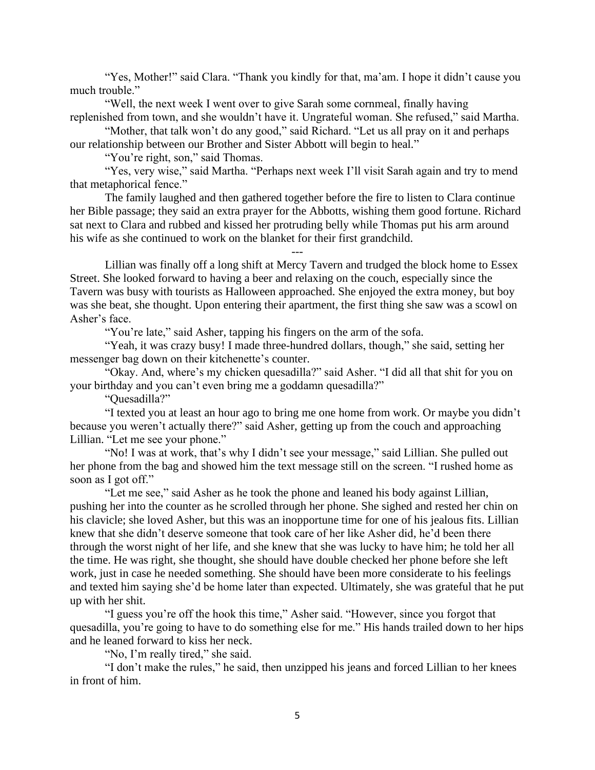"Yes, Mother!" said Clara. "Thank you kindly for that, ma'am. I hope it didn't cause you much trouble."

"Well, the next week I went over to give Sarah some cornmeal, finally having replenished from town, and she wouldn't have it. Ungrateful woman. She refused," said Martha.

"Mother, that talk won't do any good," said Richard. "Let us all pray on it and perhaps our relationship between our Brother and Sister Abbott will begin to heal."

"You're right, son," said Thomas.

"Yes, very wise," said Martha. "Perhaps next week I'll visit Sarah again and try to mend that metaphorical fence."

The family laughed and then gathered together before the fire to listen to Clara continue her Bible passage; they said an extra prayer for the Abbotts, wishing them good fortune. Richard sat next to Clara and rubbed and kissed her protruding belly while Thomas put his arm around his wife as she continued to work on the blanket for their first grandchild.

---

Lillian was finally off a long shift at Mercy Tavern and trudged the block home to Essex Street. She looked forward to having a beer and relaxing on the couch, especially since the Tavern was busy with tourists as Halloween approached. She enjoyed the extra money, but boy was she beat, she thought. Upon entering their apartment, the first thing she saw was a scowl on Asher's face.

"You're late," said Asher, tapping his fingers on the arm of the sofa.

"Yeah, it was crazy busy! I made three-hundred dollars, though," she said, setting her messenger bag down on their kitchenette's counter.

"Okay. And, where's my chicken quesadilla?" said Asher. "I did all that shit for you on your birthday and you can't even bring me a goddamn quesadilla?"

"Quesadilla?"

"I texted you at least an hour ago to bring me one home from work. Or maybe you didn't because you weren't actually there?" said Asher, getting up from the couch and approaching Lillian. "Let me see your phone."

"No! I was at work, that's why I didn't see your message," said Lillian. She pulled out her phone from the bag and showed him the text message still on the screen. "I rushed home as soon as I got off."

"Let me see," said Asher as he took the phone and leaned his body against Lillian, pushing her into the counter as he scrolled through her phone. She sighed and rested her chin on his clavicle; she loved Asher, but this was an inopportune time for one of his jealous fits. Lillian knew that she didn't deserve someone that took care of her like Asher did, he'd been there through the worst night of her life, and she knew that she was lucky to have him; he told her all the time. He was right, she thought, she should have double checked her phone before she left work, just in case he needed something. She should have been more considerate to his feelings and texted him saying she'd be home later than expected. Ultimately, she was grateful that he put up with her shit.

"I guess you're off the hook this time," Asher said. "However, since you forgot that quesadilla, you're going to have to do something else for me." His hands trailed down to her hips and he leaned forward to kiss her neck.

"No, I'm really tired," she said.

"I don't make the rules," he said, then unzipped his jeans and forced Lillian to her knees in front of him.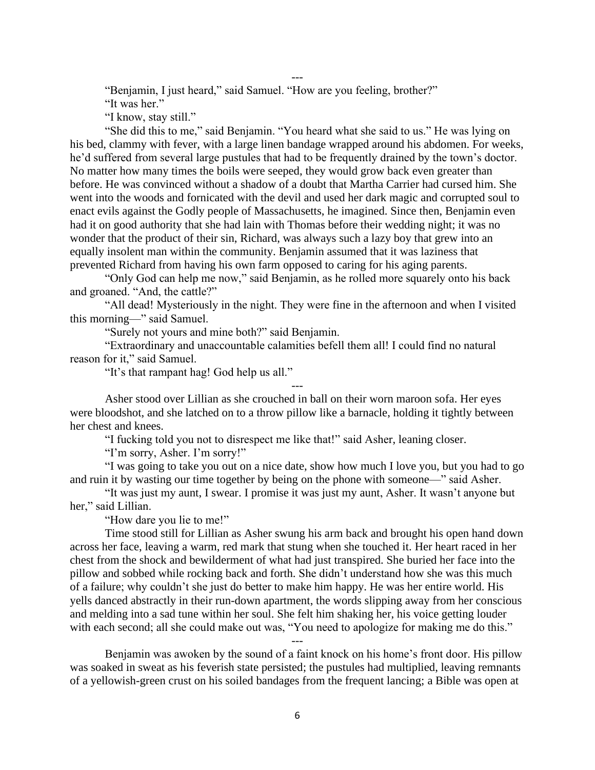---

"Benjamin, I just heard," said Samuel. "How are you feeling, brother?"

"It was her."

"I know, stay still."

"She did this to me," said Benjamin. "You heard what she said to us." He was lying on his bed, clammy with fever, with a large linen bandage wrapped around his abdomen. For weeks, he'd suffered from several large pustules that had to be frequently drained by the town's doctor. No matter how many times the boils were seeped, they would grow back even greater than before. He was convinced without a shadow of a doubt that Martha Carrier had cursed him. She went into the woods and fornicated with the devil and used her dark magic and corrupted soul to enact evils against the Godly people of Massachusetts, he imagined. Since then, Benjamin even had it on good authority that she had lain with Thomas before their wedding night; it was no wonder that the product of their sin, Richard, was always such a lazy boy that grew into an equally insolent man within the community. Benjamin assumed that it was laziness that prevented Richard from having his own farm opposed to caring for his aging parents.

"Only God can help me now," said Benjamin, as he rolled more squarely onto his back and groaned. "And, the cattle?"

"All dead! Mysteriously in the night. They were fine in the afternoon and when I visited this morning—" said Samuel.

"Surely not yours and mine both?" said Benjamin.

"Extraordinary and unaccountable calamities befell them all! I could find no natural reason for it," said Samuel.

"It's that rampant hag! God help us all."

Asher stood over Lillian as she crouched in ball on their worn maroon sofa. Her eyes were bloodshot, and she latched on to a throw pillow like a barnacle, holding it tightly between her chest and knees.

---

"I fucking told you not to disrespect me like that!" said Asher, leaning closer.

"I'm sorry, Asher. I'm sorry!"

"I was going to take you out on a nice date, show how much I love you, but you had to go and ruin it by wasting our time together by being on the phone with someone—" said Asher.

"It was just my aunt, I swear. I promise it was just my aunt, Asher. It wasn't anyone but her," said Lillian.

"How dare you lie to me!"

Time stood still for Lillian as Asher swung his arm back and brought his open hand down across her face, leaving a warm, red mark that stung when she touched it. Her heart raced in her chest from the shock and bewilderment of what had just transpired. She buried her face into the pillow and sobbed while rocking back and forth. She didn't understand how she was this much of a failure; why couldn't she just do better to make him happy. He was her entire world. His yells danced abstractly in their run-down apartment, the words slipping away from her conscious and melding into a sad tune within her soul. She felt him shaking her, his voice getting louder with each second; all she could make out was, "You need to apologize for making me do this."

Benjamin was awoken by the sound of a faint knock on his home's front door. His pillow was soaked in sweat as his feverish state persisted; the pustules had multiplied, leaving remnants of a yellowish-green crust on his soiled bandages from the frequent lancing; a Bible was open at

---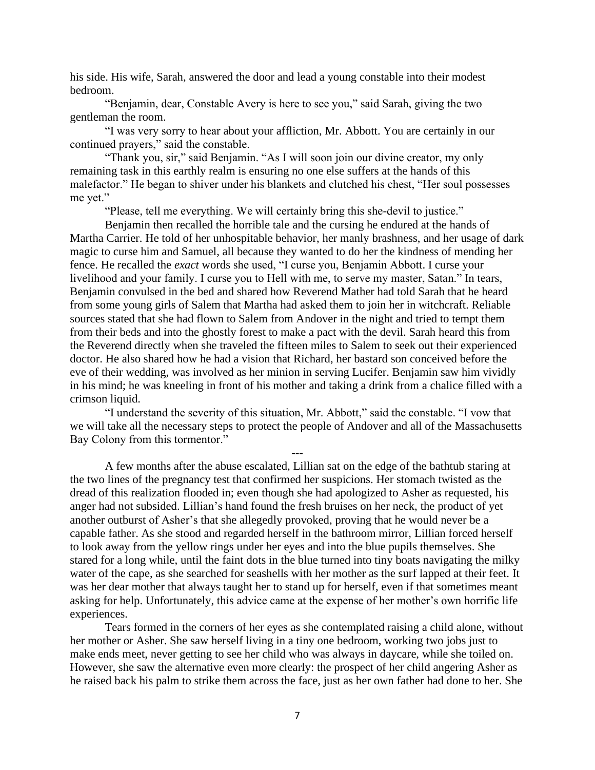his side. His wife, Sarah, answered the door and lead a young constable into their modest bedroom.

"Benjamin, dear, Constable Avery is here to see you," said Sarah, giving the two gentleman the room.

"I was very sorry to hear about your affliction, Mr. Abbott. You are certainly in our continued prayers," said the constable.

"Thank you, sir," said Benjamin. "As I will soon join our divine creator, my only remaining task in this earthly realm is ensuring no one else suffers at the hands of this malefactor." He began to shiver under his blankets and clutched his chest, "Her soul possesses me yet."

"Please, tell me everything. We will certainly bring this she-devil to justice."

Benjamin then recalled the horrible tale and the cursing he endured at the hands of Martha Carrier. He told of her unhospitable behavior, her manly brashness, and her usage of dark magic to curse him and Samuel, all because they wanted to do her the kindness of mending her fence. He recalled the *exact* words she used, "I curse you, Benjamin Abbott. I curse your livelihood and your family. I curse you to Hell with me, to serve my master, Satan." In tears, Benjamin convulsed in the bed and shared how Reverend Mather had told Sarah that he heard from some young girls of Salem that Martha had asked them to join her in witchcraft. Reliable sources stated that she had flown to Salem from Andover in the night and tried to tempt them from their beds and into the ghostly forest to make a pact with the devil. Sarah heard this from the Reverend directly when she traveled the fifteen miles to Salem to seek out their experienced doctor. He also shared how he had a vision that Richard, her bastard son conceived before the eve of their wedding, was involved as her minion in serving Lucifer. Benjamin saw him vividly in his mind; he was kneeling in front of his mother and taking a drink from a chalice filled with a crimson liquid.

"I understand the severity of this situation, Mr. Abbott," said the constable. "I vow that we will take all the necessary steps to protect the people of Andover and all of the Massachusetts Bay Colony from this tormentor."

---

A few months after the abuse escalated, Lillian sat on the edge of the bathtub staring at the two lines of the pregnancy test that confirmed her suspicions. Her stomach twisted as the dread of this realization flooded in; even though she had apologized to Asher as requested, his anger had not subsided. Lillian's hand found the fresh bruises on her neck, the product of yet another outburst of Asher's that she allegedly provoked, proving that he would never be a capable father. As she stood and regarded herself in the bathroom mirror, Lillian forced herself to look away from the yellow rings under her eyes and into the blue pupils themselves. She stared for a long while, until the faint dots in the blue turned into tiny boats navigating the milky water of the cape, as she searched for seashells with her mother as the surf lapped at their feet. It was her dear mother that always taught her to stand up for herself, even if that sometimes meant asking for help. Unfortunately, this advice came at the expense of her mother's own horrific life experiences.

Tears formed in the corners of her eyes as she contemplated raising a child alone, without her mother or Asher. She saw herself living in a tiny one bedroom, working two jobs just to make ends meet, never getting to see her child who was always in daycare, while she toiled on. However, she saw the alternative even more clearly: the prospect of her child angering Asher as he raised back his palm to strike them across the face, just as her own father had done to her. She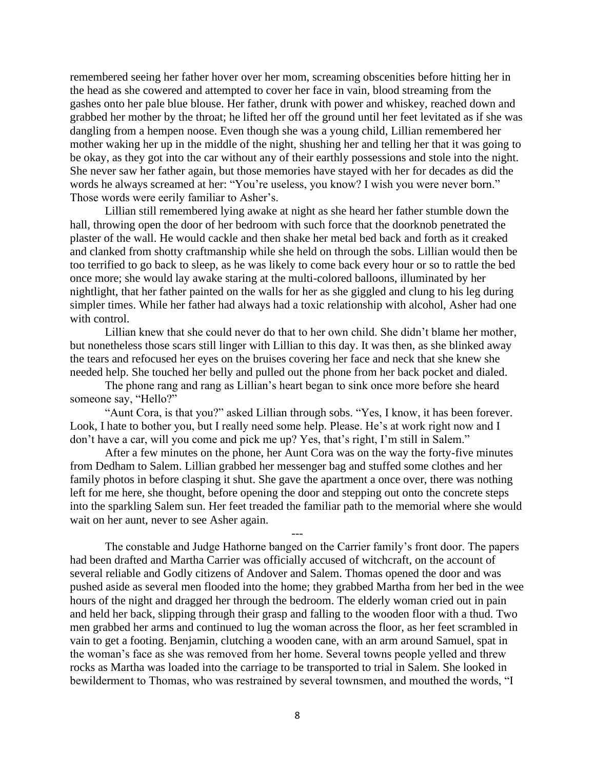remembered seeing her father hover over her mom, screaming obscenities before hitting her in the head as she cowered and attempted to cover her face in vain, blood streaming from the gashes onto her pale blue blouse. Her father, drunk with power and whiskey, reached down and grabbed her mother by the throat; he lifted her off the ground until her feet levitated as if she was dangling from a hempen noose. Even though she was a young child, Lillian remembered her mother waking her up in the middle of the night, shushing her and telling her that it was going to be okay, as they got into the car without any of their earthly possessions and stole into the night. She never saw her father again, but those memories have stayed with her for decades as did the words he always screamed at her: "You're useless, you know? I wish you were never born." Those words were eerily familiar to Asher's.

Lillian still remembered lying awake at night as she heard her father stumble down the hall, throwing open the door of her bedroom with such force that the doorknob penetrated the plaster of the wall. He would cackle and then shake her metal bed back and forth as it creaked and clanked from shotty craftmanship while she held on through the sobs. Lillian would then be too terrified to go back to sleep, as he was likely to come back every hour or so to rattle the bed once more; she would lay awake staring at the multi-colored balloons, illuminated by her nightlight, that her father painted on the walls for her as she giggled and clung to his leg during simpler times. While her father had always had a toxic relationship with alcohol, Asher had one with control.

Lillian knew that she could never do that to her own child. She didn't blame her mother, but nonetheless those scars still linger with Lillian to this day. It was then, as she blinked away the tears and refocused her eyes on the bruises covering her face and neck that she knew she needed help. She touched her belly and pulled out the phone from her back pocket and dialed.

The phone rang and rang as Lillian's heart began to sink once more before she heard someone say, "Hello?"

"Aunt Cora, is that you?" asked Lillian through sobs. "Yes, I know, it has been forever. Look, I hate to bother you, but I really need some help. Please. He's at work right now and I don't have a car, will you come and pick me up? Yes, that's right, I'm still in Salem."

After a few minutes on the phone, her Aunt Cora was on the way the forty-five minutes from Dedham to Salem. Lillian grabbed her messenger bag and stuffed some clothes and her family photos in before clasping it shut. She gave the apartment a once over, there was nothing left for me here, she thought, before opening the door and stepping out onto the concrete steps into the sparkling Salem sun. Her feet treaded the familiar path to the memorial where she would wait on her aunt, never to see Asher again.

---

The constable and Judge Hathorne banged on the Carrier family's front door. The papers had been drafted and Martha Carrier was officially accused of witchcraft, on the account of several reliable and Godly citizens of Andover and Salem. Thomas opened the door and was pushed aside as several men flooded into the home; they grabbed Martha from her bed in the wee hours of the night and dragged her through the bedroom. The elderly woman cried out in pain and held her back, slipping through their grasp and falling to the wooden floor with a thud. Two men grabbed her arms and continued to lug the woman across the floor, as her feet scrambled in vain to get a footing. Benjamin, clutching a wooden cane, with an arm around Samuel, spat in the woman's face as she was removed from her home. Several towns people yelled and threw rocks as Martha was loaded into the carriage to be transported to trial in Salem. She looked in bewilderment to Thomas, who was restrained by several townsmen, and mouthed the words, "I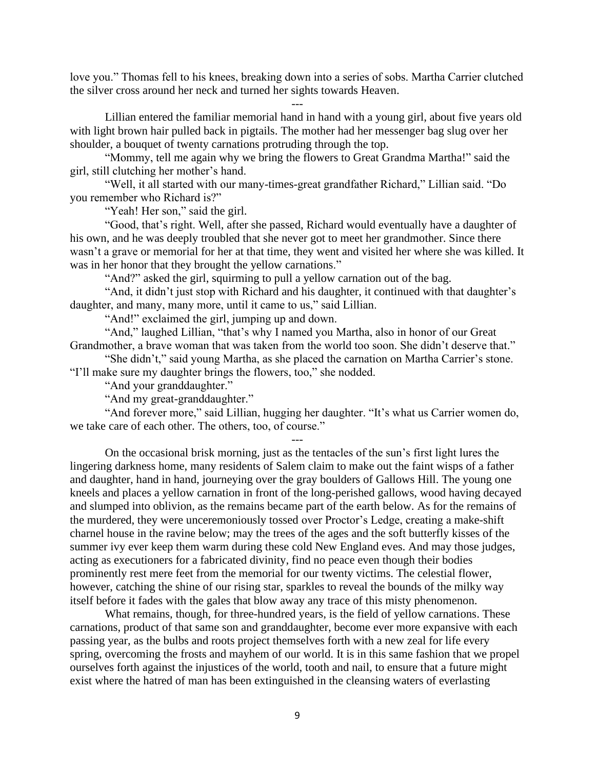love you." Thomas fell to his knees, breaking down into a series of sobs. Martha Carrier clutched the silver cross around her neck and turned her sights towards Heaven.

---

Lillian entered the familiar memorial hand in hand with a young girl, about five years old with light brown hair pulled back in pigtails. The mother had her messenger bag slug over her shoulder, a bouquet of twenty carnations protruding through the top.

"Mommy, tell me again why we bring the flowers to Great Grandma Martha!" said the girl, still clutching her mother's hand.

"Well, it all started with our many-times-great grandfather Richard," Lillian said. "Do you remember who Richard is?"

"Yeah! Her son," said the girl.

"Good, that's right. Well, after she passed, Richard would eventually have a daughter of his own, and he was deeply troubled that she never got to meet her grandmother. Since there wasn't a grave or memorial for her at that time, they went and visited her where she was killed. It was in her honor that they brought the yellow carnations."

"And?" asked the girl, squirming to pull a yellow carnation out of the bag.

"And, it didn't just stop with Richard and his daughter, it continued with that daughter's daughter, and many, many more, until it came to us," said Lillian.

"And!" exclaimed the girl, jumping up and down.

"And," laughed Lillian, "that's why I named you Martha, also in honor of our Great Grandmother, a brave woman that was taken from the world too soon. She didn't deserve that."

"She didn't," said young Martha, as she placed the carnation on Martha Carrier's stone. "I'll make sure my daughter brings the flowers, too," she nodded.

"And your granddaughter."

"And my great-granddaughter."

"And forever more," said Lillian, hugging her daughter. "It's what us Carrier women do, we take care of each other. The others, too, of course."

---

On the occasional brisk morning, just as the tentacles of the sun's first light lures the lingering darkness home, many residents of Salem claim to make out the faint wisps of a father and daughter, hand in hand, journeying over the gray boulders of Gallows Hill. The young one kneels and places a yellow carnation in front of the long-perished gallows, wood having decayed and slumped into oblivion, as the remains became part of the earth below. As for the remains of the murdered, they were unceremoniously tossed over Proctor's Ledge, creating a make-shift charnel house in the ravine below; may the trees of the ages and the soft butterfly kisses of the summer ivy ever keep them warm during these cold New England eves. And may those judges, acting as executioners for a fabricated divinity, find no peace even though their bodies prominently rest mere feet from the memorial for our twenty victims. The celestial flower, however, catching the shine of our rising star, sparkles to reveal the bounds of the milky way itself before it fades with the gales that blow away any trace of this misty phenomenon.

What remains, though, for three-hundred years, is the field of yellow carnations. These carnations, product of that same son and granddaughter, become ever more expansive with each passing year, as the bulbs and roots project themselves forth with a new zeal for life every spring, overcoming the frosts and mayhem of our world. It is in this same fashion that we propel ourselves forth against the injustices of the world, tooth and nail, to ensure that a future might exist where the hatred of man has been extinguished in the cleansing waters of everlasting